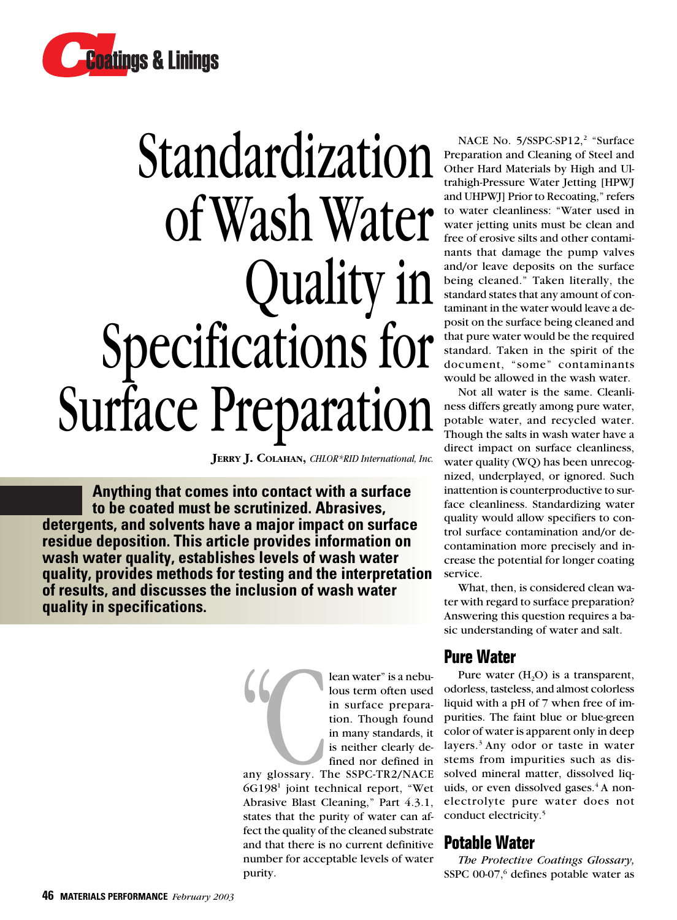

# Standardization of Wash Water Quality in Specifications for Surface Preparation

**JERRY J. COLAHAN,** *CHLOR\*RID International, Inc.*

**Anything that comes into contact with a surface to be coated must be scrutinized. Abrasives, detergents, and solvents have a major impact on surface residue deposition. This article provides information on wash water quality, establishes levels of wash water quality, provides methods for testing and the interpretation of results, and discusses the inclusion of wash water quality in specifications.**

> lean water" is a nebu-<br>
> lous term often used<br>
> in surface prepara-<br>
> tion. Though found<br>
> in many standards, it<br>
> is neither clearly de-<br>
> fined nor defined in<br>
> any glossary. The SSPC-TR2/NACE lous term often used in surface preparation. Though found in many standards, it is neither clearly defined nor defined in

any glossary. The SSPC-TR2/NACE 6G1981 joint technical report, "Wet Abrasive Blast Cleaning," Part 4.3.1, states that the purity of water can affect the quality of the cleaned substrate and that there is no current definitive number for acceptable levels of water purity.

NACE No. 5/SSPC-SP12,<sup>2</sup> "Surface Preparation and Cleaning of Steel and Other Hard Materials by High and Ultrahigh-Pressure Water Jetting [HPWJ and UHPWJ] Prior to Recoating," refers to water cleanliness: "Water used in water jetting units must be clean and free of erosive silts and other contaminants that damage the pump valves and/or leave deposits on the surface being cleaned." Taken literally, the standard states that any amount of contaminant in the water would leave a deposit on the surface being cleaned and that pure water would be the required standard. Taken in the spirit of the document, "some" contaminants would be allowed in the wash water.

Not all water is the same. Cleanliness differs greatly among pure water, potable water, and recycled water. Though the salts in wash water have a direct impact on surface cleanliness, water quality (WQ) has been unrecognized, underplayed, or ignored. Such inattention is counterproductive to surface cleanliness. Standardizing water quality would allow specifiers to control surface contamination and/or decontamination more precisely and increase the potential for longer coating service.

What, then, is considered clean water with regard to surface preparation? Answering this question requires a basic understanding of water and salt.

#### **Pure Water**

Pure water  $(H, O)$  is a transparent, odorless, tasteless, and almost colorless liquid with a pH of 7 when free of impurities. The faint blue or blue-green color of water is apparent only in deep layers.3 Any odor or taste in water stems from impurities such as dissolved mineral matter, dissolved liquids, or even dissolved gases.<sup>4</sup> A nonelectrolyte pure water does not conduct electricity.<sup>5</sup>

#### **Potable Water**

*The Protective Coatings Glossary,* SSPC 00-07,<sup>6</sup> defines potable water as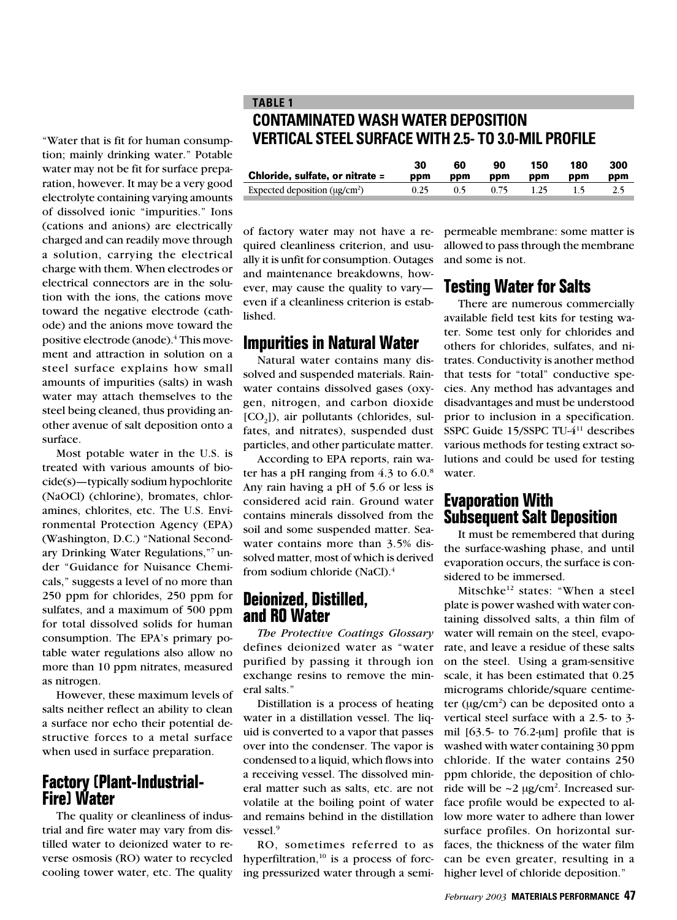"Water that is fit for human consumption; mainly drinking water." Potable water may not be fit for surface preparation, however. It may be a very good electrolyte containing varying amounts of dissolved ionic "impurities." Ions (cations and anions) are electrically charged and can readily move through a solution, carrying the electrical charge with them. When electrodes or electrical connectors are in the solution with the ions, the cations move toward the negative electrode (cathode) and the anions move toward the positive electrode (anode).4 This movement and attraction in solution on a steel surface explains how small amounts of impurities (salts) in wash water may attach themselves to the steel being cleaned, thus providing another avenue of salt deposition onto a surface.

Most potable water in the U.S. is treated with various amounts of biocide(s)—typically sodium hypochlorite (NaOCl) (chlorine), bromates, chloramines, chlorites, etc. The U.S. Environmental Protection Agency (EPA) (Washington, D.C.) "National Secondary Drinking Water Regulations,"7 under "Guidance for Nuisance Chemicals," suggests a level of no more than 250 ppm for chlorides, 250 ppm for sulfates, and a maximum of 500 ppm for total dissolved solids for human consumption. The EPA's primary potable water regulations also allow no more than 10 ppm nitrates, measured as nitrogen.

However, these maximum levels of salts neither reflect an ability to clean a surface nor echo their potential destructive forces to a metal surface when used in surface preparation.

#### **Factory (Plant-Industrial-Fire) Water**

The quality or cleanliness of industrial and fire water may vary from distilled water to deionized water to reverse osmosis (RO) water to recycled cooling tower water, etc. The quality

#### **TABLE 1 CONTAMINATED WASH WATER DEPOSITION VERTICAL STEEL SURFACE WITH 2.5- TO 3.0-MIL PROFILE**

|                                    | 30   | 60  | 90   | 150  | 180 | 300 |
|------------------------------------|------|-----|------|------|-----|-----|
| Chloride, sulfate, or nitrate =    | ppm  | ppm | ppm  | ppm  | ppm | ppm |
| Expected deposition $(\mu g/cm^2)$ | 0.25 | 0.5 | 0.75 | 1.25 |     | 2.5 |

of factory water may not have a required cleanliness criterion, and usually it is unfit for consumption. Outages and maintenance breakdowns, however, may cause the quality to vary even if a cleanliness criterion is established.

#### **Impurities in Natural Water**

Natural water contains many dissolved and suspended materials. Rainwater contains dissolved gases (oxygen, nitrogen, and carbon dioxide  $[CO<sub>3</sub>]$ ), air pollutants (chlorides, sulfates, and nitrates), suspended dust particles, and other particulate matter.

According to EPA reports, rain water has a pH ranging from  $4.3$  to  $6.0$ .<sup>8</sup> Any rain having a pH of 5.6 or less is considered acid rain. Ground water contains minerals dissolved from the soil and some suspended matter. Seawater contains more than 3.5% dissolved matter, most of which is derived from sodium chloride (NaCl).4

#### **Deionized, Distilled, and RO Water**

*The Protective Coatings Glossary* defines deionized water as "water purified by passing it through ion exchange resins to remove the mineral salts."

Distillation is a process of heating water in a distillation vessel. The liquid is converted to a vapor that passes over into the condenser. The vapor is condensed to a liquid, which flows into a receiving vessel. The dissolved mineral matter such as salts, etc. are not volatile at the boiling point of water and remains behind in the distillation vessel.<sup>9</sup>

RO, sometimes referred to as hyperfiltration, $10$  is a process of forcing pressurized water through a semi-

permeable membrane: some matter is allowed to pass through the membrane and some is not.

# **Testing Water for Salts**

There are numerous commercially available field test kits for testing water. Some test only for chlorides and others for chlorides, sulfates, and nitrates. Conductivity is another method that tests for "total" conductive species. Any method has advantages and disadvantages and must be understood prior to inclusion in a specification. SSPC Guide 15/SSPC TU-411 describes various methods for testing extract solutions and could be used for testing water.

#### **Evaporation With Subsequent Salt Deposition**

It must be remembered that during the surface-washing phase, and until evaporation occurs, the surface is considered to be immersed.

Mitschke<sup>12</sup> states: "When a steel plate is power washed with water containing dissolved salts, a thin film of water will remain on the steel, evaporate, and leave a residue of these salts on the steel. Using a gram-sensitive scale, it has been estimated that 0.25 micrograms chloride/square centimeter (µg/cm<sup>2</sup>) can be deposited onto a vertical steel surface with a 2.5- to 3 mil  $[63.5-$  to  $76.2$ -µm] profile that is washed with water containing 30 ppm chloride. If the water contains 250 ppm chloride, the deposition of chloride will be  $\sim$ 2 µg/cm<sup>2</sup>. Increased surface profile would be expected to allow more water to adhere than lower surface profiles. On horizontal surfaces, the thickness of the water film can be even greater, resulting in a higher level of chloride deposition."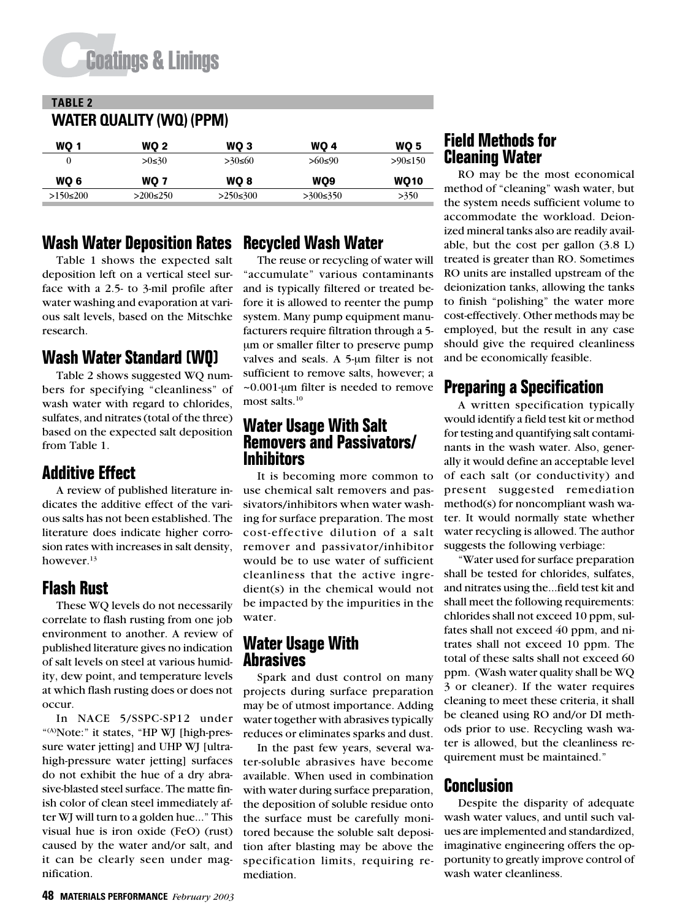# **Coatings & Linings**

# **TABLE 2 WATER QUALITY (WQ) (PPM)**

| WO 1           | WO 2            | WO 3     | <b>WO 4</b> | <b>WO 5</b> |  |
|----------------|-----------------|----------|-------------|-------------|--|
|                | $>0$ ≤30        | >30≤60   | >60≤90      | >90≤150     |  |
| WO 6           | WO 7            | WO 8     | WO9         | <b>WO10</b> |  |
| $>150 \le 200$ | $>200 \leq 250$ | >250≤300 | >300≤350    | >350        |  |

# **Wash Water Deposition Rates**

Table 1 shows the expected salt deposition left on a vertical steel surface with a 2.5- to 3-mil profile after water washing and evaporation at various salt levels, based on the Mitschke research.

# **Wash Water Standard (WQ)**

Table 2 shows suggested WQ numbers for specifying "cleanliness" of wash water with regard to chlorides, sulfates, and nitrates (total of the three) based on the expected salt deposition from Table 1.

# **Additive Effect**

A review of published literature indicates the additive effect of the various salts has not been established. The literature does indicate higher corrosion rates with increases in salt density, however.<sup>13</sup>

# **Flash Rust**

These WQ levels do not necessarily correlate to flash rusting from one job environment to another. A review of published literature gives no indication of salt levels on steel at various humidity, dew point, and temperature levels at which flash rusting does or does not occur.

In NACE 5/SSPC-SP12 under "(A)Note:" it states, "HP WJ [high-pressure water jetting] and UHP WJ [ultrahigh-pressure water jetting] surfaces do not exhibit the hue of a dry abrasive-blasted steel surface. The matte finish color of clean steel immediately after WJ will turn to a golden hue..." This visual hue is iron oxide (FeO) (rust) caused by the water and/or salt, and it can be clearly seen under magnification.

# **Recycled Wash Water**

The reuse or recycling of water will "accumulate" various contaminants and is typically filtered or treated before it is allowed to reenter the pump system. Many pump equipment manufacturers require filtration through a 5 µm or smaller filter to preserve pump valves and seals. A 5-µm filter is not sufficient to remove salts, however; a ~0.001-µm filter is needed to remove most salts.<sup>10</sup>

#### **Water Usage With Salt Removers and Passivators/ Inhibitors**

It is becoming more common to use chemical salt removers and passivators/inhibitors when water washing for surface preparation. The most cost-effective dilution of a salt remover and passivator/inhibitor would be to use water of sufficient cleanliness that the active ingredient(s) in the chemical would not be impacted by the impurities in the water.

#### **Water Usage With Abrasives**

Spark and dust control on many projects during surface preparation may be of utmost importance. Adding water together with abrasives typically reduces or eliminates sparks and dust.

In the past few years, several water-soluble abrasives have become available. When used in combination with water during surface preparation, the deposition of soluble residue onto the surface must be carefully monitored because the soluble salt deposition after blasting may be above the specification limits, requiring remediation.

# **Field Methods for Cleaning Water**

RO may be the most economical method of "cleaning" wash water, but the system needs sufficient volume to accommodate the workload. Deionized mineral tanks also are readily available, but the cost per gallon (3.8 L) treated is greater than RO. Sometimes RO units are installed upstream of the deionization tanks, allowing the tanks to finish "polishing" the water more cost-effectively. Other methods may be employed, but the result in any case should give the required cleanliness and be economically feasible.

### **Preparing a Specification**

A written specification typically would identify a field test kit or method for testing and quantifying salt contaminants in the wash water. Also, generally it would define an acceptable level of each salt (or conductivity) and present suggested remediation method(s) for noncompliant wash water. It would normally state whether water recycling is allowed. The author suggests the following verbiage:

"Water used for surface preparation shall be tested for chlorides, sulfates, and nitrates using the...field test kit and shall meet the following requirements: chlorides shall not exceed 10 ppm, sulfates shall not exceed 40 ppm, and nitrates shall not exceed 10 ppm. The total of these salts shall not exceed 60 ppm. (Wash water quality shall be WQ 3 or cleaner). If the water requires cleaning to meet these criteria, it shall be cleaned using RO and/or DI methods prior to use. Recycling wash water is allowed, but the cleanliness requirement must be maintained."

### **Conclusion**

Despite the disparity of adequate wash water values, and until such values are implemented and standardized, imaginative engineering offers the opportunity to greatly improve control of wash water cleanliness.